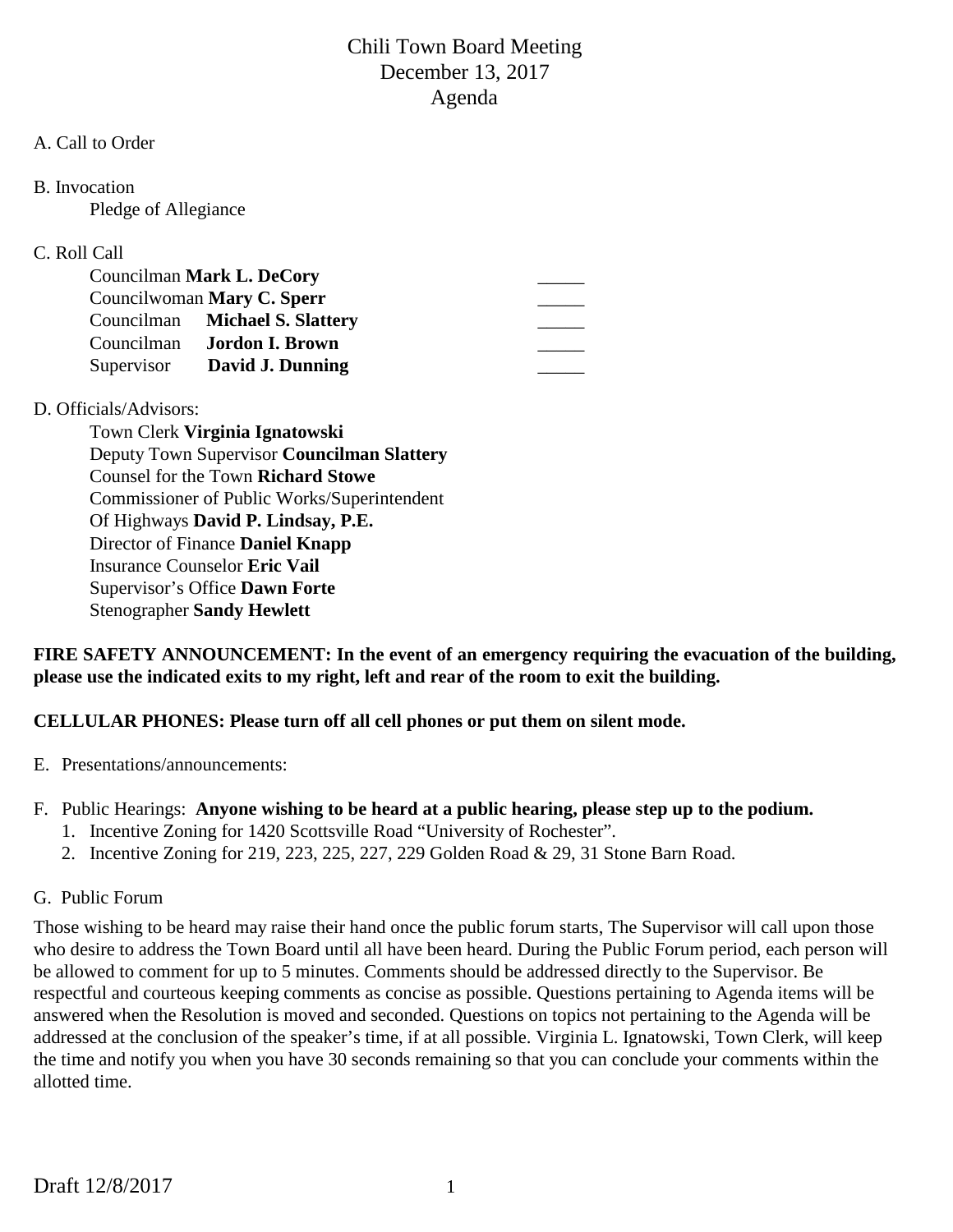#### A. Call to Order

B. Invocation

Pledge of Allegiance

## C. Roll Call

| Councilman Mark L. DeCory  |                                   |  |
|----------------------------|-----------------------------------|--|
| Councilwoman Mary C. Sperr |                                   |  |
|                            | Councilman Michael S. Slattery    |  |
|                            | Councilman <b>Jordon I. Brown</b> |  |
|                            | Supervisor David J. Dunning       |  |

## D. Officials/Advisors:

Town Clerk **Virginia Ignatowski** Deputy Town Supervisor **Councilman Slattery** Counsel for the Town **Richard Stowe** Commissioner of Public Works/Superintendent Of Highways **David P. Lindsay, P.E.** Director of Finance **Daniel Knapp** Insurance Counselor **Eric Vail** Supervisor's Office **Dawn Forte** Stenographer **Sandy Hewlett**

**FIRE SAFETY ANNOUNCEMENT: In the event of an emergency requiring the evacuation of the building, please use the indicated exits to my right, left and rear of the room to exit the building.**

**CELLULAR PHONES: Please turn off all cell phones or put them on silent mode.**

- E. Presentations/announcements:
- F. Public Hearings: **Anyone wishing to be heard at a public hearing, please step up to the podium.**
	- 1. Incentive Zoning for 1420 Scottsville Road "University of Rochester".
	- 2. Incentive Zoning for 219, 223, 225, 227, 229 Golden Road & 29, 31 Stone Barn Road.
- G. Public Forum

Those wishing to be heard may raise their hand once the public forum starts, The Supervisor will call upon those who desire to address the Town Board until all have been heard. During the Public Forum period, each person will be allowed to comment for up to 5 minutes. Comments should be addressed directly to the Supervisor. Be respectful and courteous keeping comments as concise as possible. Questions pertaining to Agenda items will be answered when the Resolution is moved and seconded. Questions on topics not pertaining to the Agenda will be addressed at the conclusion of the speaker's time, if at all possible. Virginia L. Ignatowski, Town Clerk, will keep the time and notify you when you have 30 seconds remaining so that you can conclude your comments within the allotted time.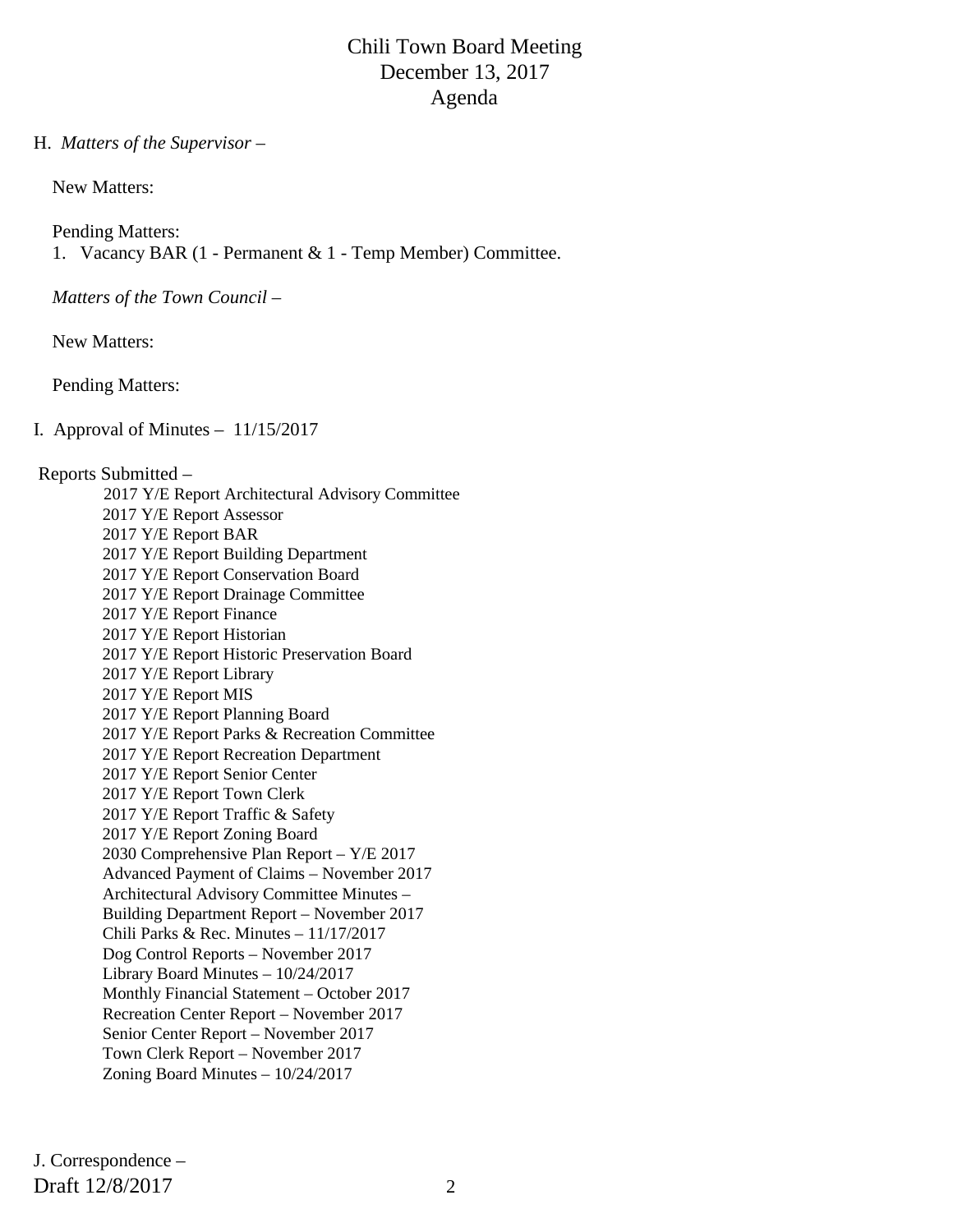#### H. *Matters of the Supervisor –*

New Matters:

 Pending Matters: 1. Vacancy BAR (1 - Permanent & 1 - Temp Member) Committee.

*Matters of the Town Council –*

New Matters:

Pending Matters:

I. Approval of Minutes – 11/15/2017

#### Reports Submitted –

 2017 Y/E Report Architectural Advisory Committee 2017 Y/E Report Assessor 2017 Y/E Report BAR 2017 Y/E Report Building Department 2017 Y/E Report Conservation Board 2017 Y/E Report Drainage Committee 2017 Y/E Report Finance 2017 Y/E Report Historian 2017 Y/E Report Historic Preservation Board 2017 Y/E Report Library 2017 Y/E Report MIS 2017 Y/E Report Planning Board 2017 Y/E Report Parks & Recreation Committee 2017 Y/E Report Recreation Department 2017 Y/E Report Senior Center 2017 Y/E Report Town Clerk 2017 Y/E Report Traffic & Safety 2017 Y/E Report Zoning Board 2030 Comprehensive Plan Report – Y/E 2017 Advanced Payment of Claims – November 2017 Architectural Advisory Committee Minutes – Building Department Report – November 2017 Chili Parks & Rec. Minutes – 11/17/2017 Dog Control Reports – November 2017 Library Board Minutes – 10/24/2017 Monthly Financial Statement – October 2017 Recreation Center Report – November 2017 Senior Center Report – November 2017 Town Clerk Report – November 2017 Zoning Board Minutes – 10/24/2017

Draft 12/8/2017 2 J. Correspondence –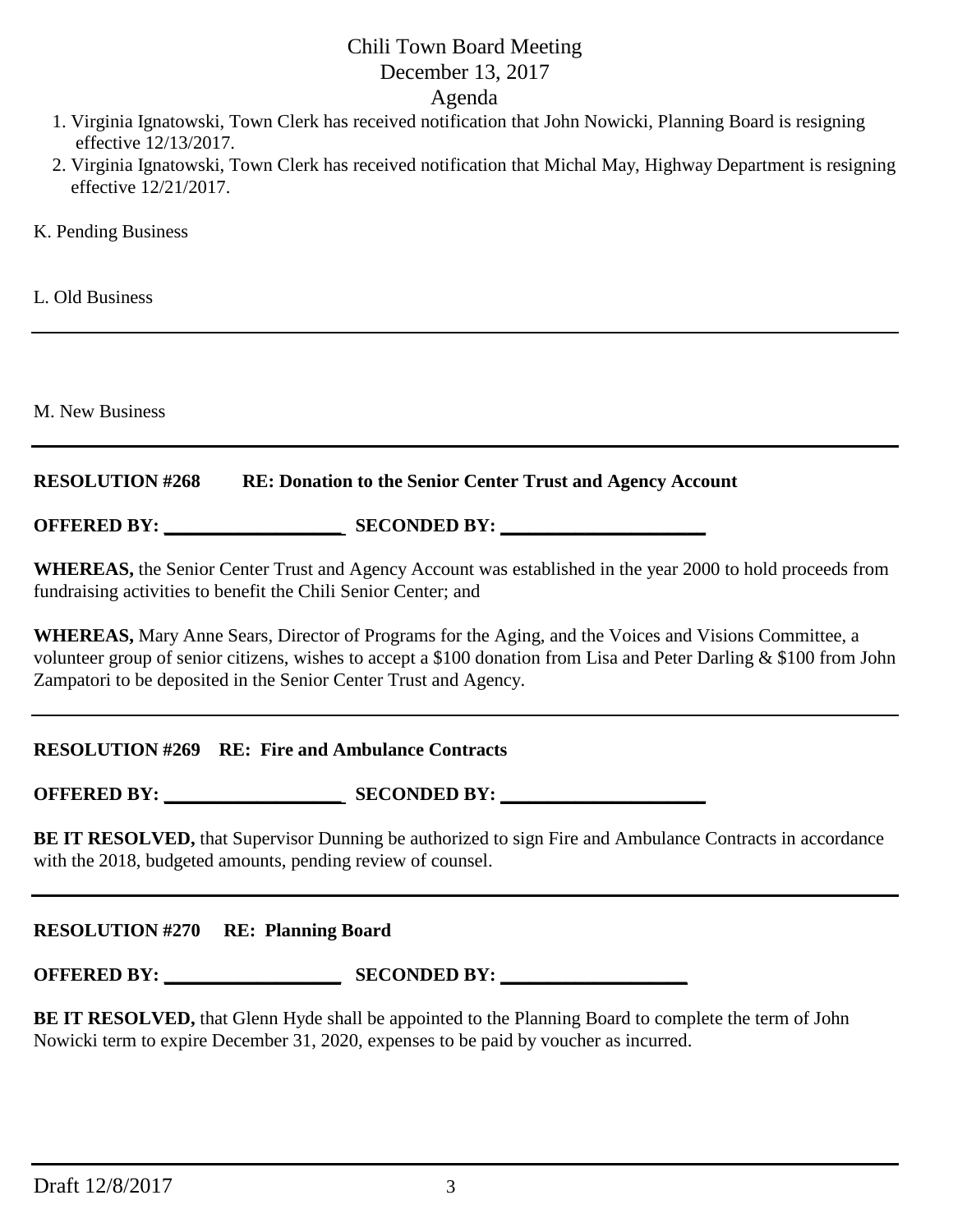## Chili Town Board Meeting December 13, 2017

Agenda

- 1. Virginia Ignatowski, Town Clerk has received notification that John Nowicki, Planning Board is resigning effective 12/13/2017.
- 2. Virginia Ignatowski, Town Clerk has received notification that Michal May, Highway Department is resigning effective 12/21/2017.
- K. Pending Business

L. Old Business

M. New Business

## **RESOLUTION #268 RE: Donation to the Senior Center Trust and Agency Account**

**OFFERED BY: \_\_\_\_\_\_\_\_\_\_\_\_\_\_\_\_\_\_\_ SECONDED BY: \_\_\_\_\_\_\_\_\_\_\_\_\_\_\_\_\_\_\_\_\_\_**

**WHEREAS,** the Senior Center Trust and Agency Account was established in the year 2000 to hold proceeds from fundraising activities to benefit the Chili Senior Center; and

**WHEREAS,** Mary Anne Sears, Director of Programs for the Aging, and the Voices and Visions Committee, a volunteer group of senior citizens, wishes to accept a \$100 donation from Lisa and Peter Darling & \$100 from John Zampatori to be deposited in the Senior Center Trust and Agency.

## **RESOLUTION #269 RE: Fire and Ambulance Contracts**

**OFFERED BY: \_\_\_\_\_\_\_\_\_\_\_\_\_\_\_\_\_\_\_ SECONDED BY: \_\_\_\_\_\_\_\_\_\_\_\_\_\_\_\_\_\_\_\_\_\_**

**BE IT RESOLVED,** that Supervisor Dunning be authorized to sign Fire and Ambulance Contracts in accordance with the 2018, budgeted amounts, pending review of counsel.

## **RESOLUTION #270 RE: Planning Board**

**OFFERED BY: \_\_\_\_\_\_\_\_\_\_\_\_\_\_\_\_\_\_\_ SECONDED BY: \_\_\_\_\_\_\_\_\_\_\_\_\_\_\_\_\_\_\_\_**

**BE IT RESOLVED,** that Glenn Hyde shall be appointed to the Planning Board to complete the term of John Nowicki term to expire December 31, 2020, expenses to be paid by voucher as incurred.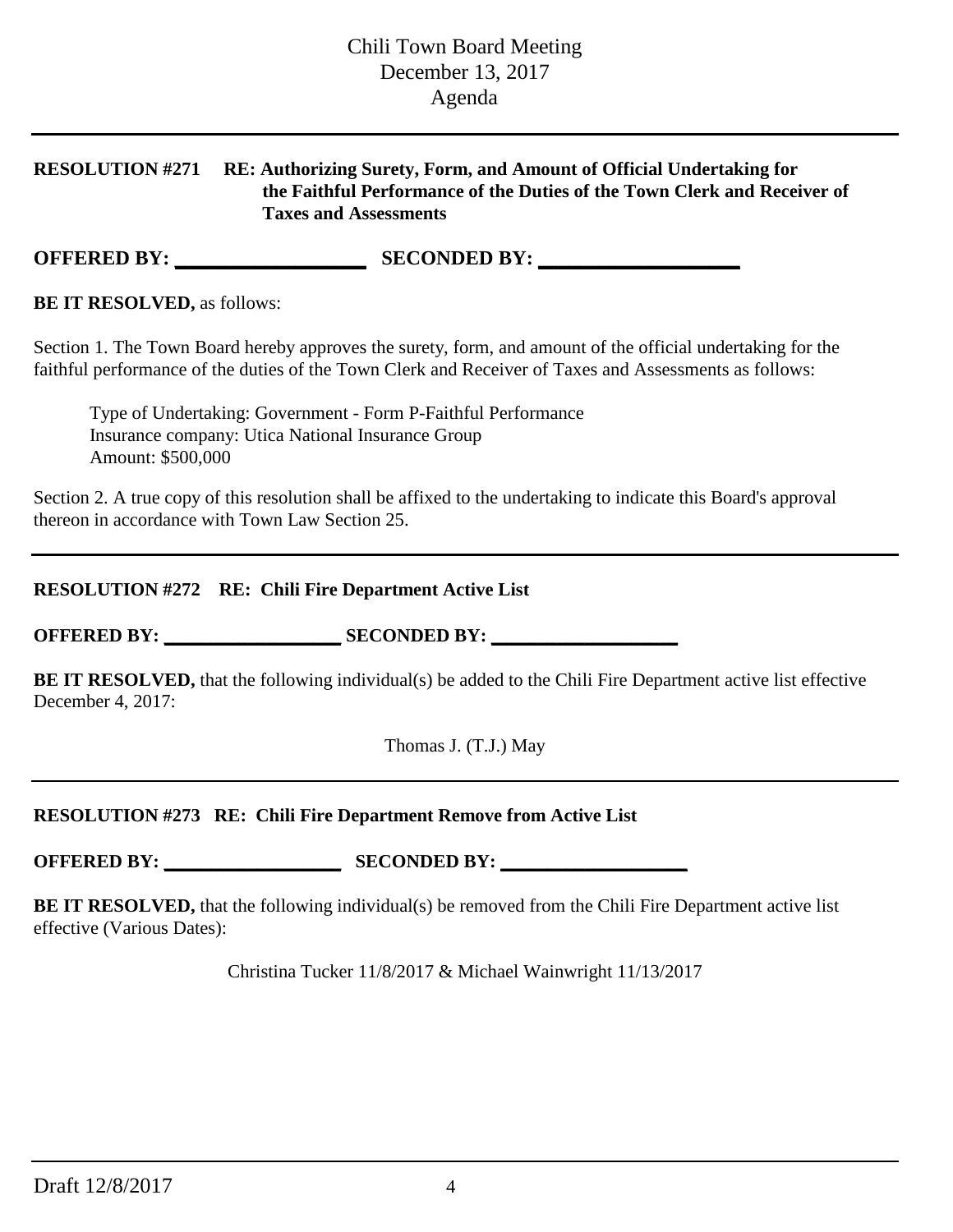## **RESOLUTION #271 RE: Authorizing Surety, Form, and Amount of Official Undertaking for the Faithful Performance of the Duties of the Town Clerk and Receiver of Taxes and Assessments**

**OFFERED BY: \_\_\_\_\_\_\_\_\_\_\_\_\_\_\_\_\_\_\_ SECONDED BY: \_\_\_\_\_\_\_\_\_\_\_\_\_\_\_\_\_\_\_\_**

**BE IT RESOLVED,** as follows:

Section 1. The Town Board hereby approves the surety, form, and amount of the official undertaking for the faithful performance of the duties of the Town Clerk and Receiver of Taxes and Assessments as follows:

Type of Undertaking: Government - Form P-Faithful Performance Insurance company: Utica National Insurance Group Amount: \$500,000

Section 2. A true copy of this resolution shall be affixed to the undertaking to indicate this Board's approval thereon in accordance with Town Law Section 25.

## **RESOLUTION #272 RE: Chili Fire Department Active List**

**OFFERED BY: \_\_\_\_\_\_\_\_\_\_\_\_\_\_\_\_\_\_\_ SECONDED BY: \_\_\_\_\_\_\_\_\_\_\_\_\_\_\_\_\_\_\_\_**

**BE IT RESOLVED,** that the following individual(s) be added to the Chili Fire Department active list effective December 4, 2017:

Thomas J. (T.J.) May

## **RESOLUTION #273 RE: Chili Fire Department Remove from Active List**

**OFFERED BY: \_\_\_\_\_\_\_\_\_\_\_\_\_\_\_\_\_\_\_ SECONDED BY: \_\_\_\_\_\_\_\_\_\_\_\_\_\_\_\_\_\_\_\_**

**BE IT RESOLVED,** that the following individual(s) be removed from the Chili Fire Department active list effective (Various Dates):

Christina Tucker 11/8/2017 & Michael Wainwright 11/13/2017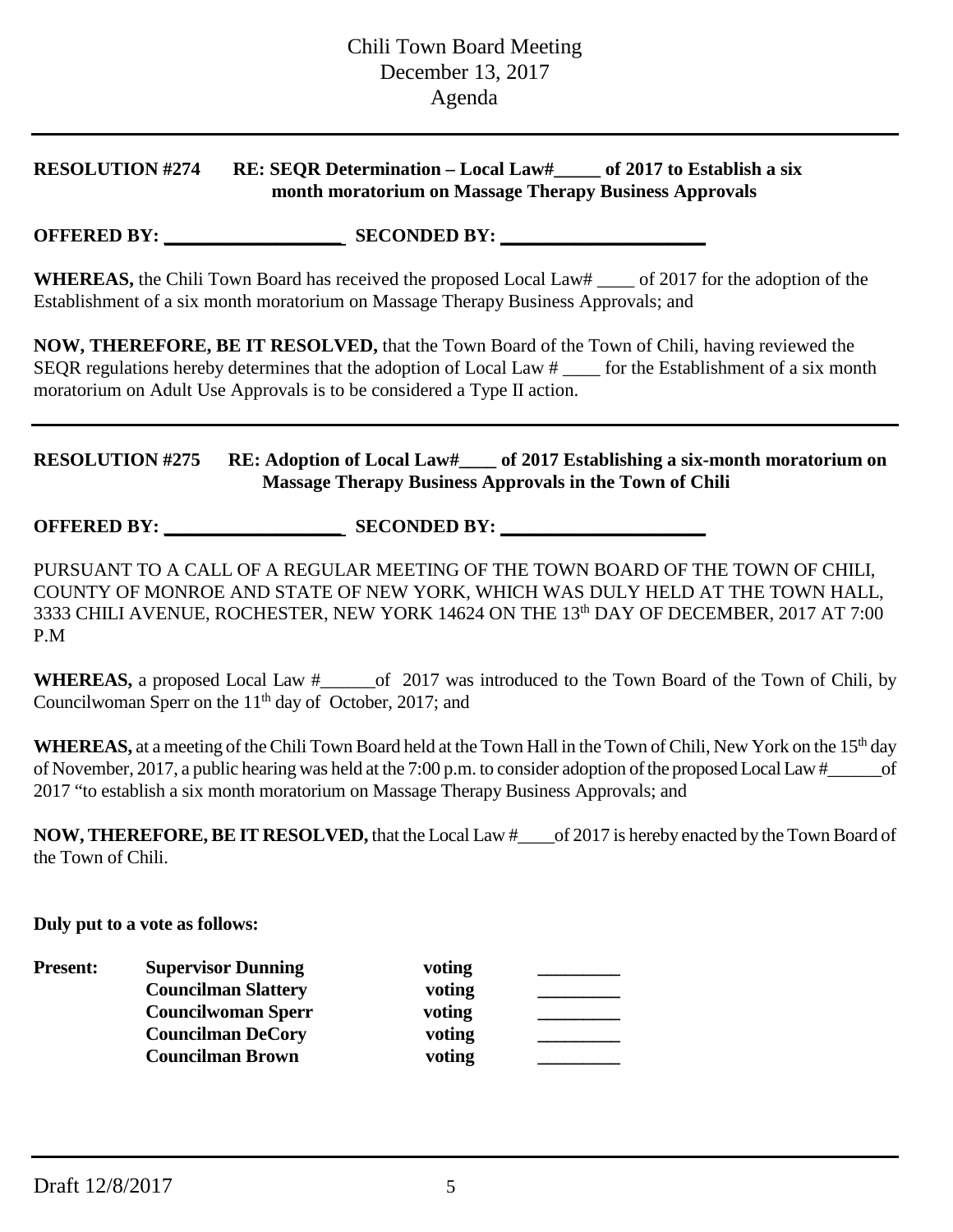## **RESOLUTION #274 RE: SEQR Determination – Local Law#\_\_\_\_\_ of 2017 to Establish a six month moratorium on Massage Therapy Business Approvals**

**OFFERED BY: \_\_\_\_\_\_\_\_\_\_\_\_\_\_\_\_\_\_\_ SECONDED BY: \_\_\_\_\_\_\_\_\_\_\_\_\_\_\_\_\_\_\_\_\_\_**

**WHEREAS,** the Chili Town Board has received the proposed Local Law# \_\_\_\_ of 2017 for the adoption of the Establishment of a six month moratorium on Massage Therapy Business Approvals; and

**NOW, THEREFORE, BE IT RESOLVED,** that the Town Board of the Town of Chili, having reviewed the SEQR regulations hereby determines that the adoption of Local Law # \_\_\_\_ for the Establishment of a six month moratorium on Adult Use Approvals is to be considered a Type II action.

## **RESOLUTION #275 RE: Adoption of Local Law#\_\_\_\_ of 2017 Establishing a six-month moratorium on Massage Therapy Business Approvals in the Town of Chili**

**OFFERED BY: \_\_\_\_\_\_\_\_\_\_\_\_\_\_\_\_\_\_\_ SECONDED BY: \_\_\_\_\_\_\_\_\_\_\_\_\_\_\_\_\_\_\_\_\_\_**

PURSUANT TO A CALL OF A REGULAR MEETING OF THE TOWN BOARD OF THE TOWN OF CHILI, COUNTY OF MONROE AND STATE OF NEW YORK, WHICH WAS DULY HELD AT THE TOWN HALL, 3333 CHILI AVENUE, ROCHESTER, NEW YORK 14624 ON THE 13th DAY OF DECEMBER, 2017 AT 7:00 P.M

WHEREAS, a proposed Local Law  $\#$  of 2017 was introduced to the Town Board of the Town of Chili, by Councilwoman Sperr on the  $11<sup>th</sup>$  day of October, 2017; and

**WHEREAS,** at a meeting of the Chili Town Board held at the Town Hall in the Town of Chili, New York on the 15<sup>th</sup> day of November, 2017, a public hearing was held at the 7:00 p.m. to consider adoption of the proposed Local Law #\_\_\_\_\_\_of 2017 "to establish a six month moratorium on Massage Therapy Business Approvals; and

**NOW, THEREFORE, BE IT RESOLVED,** that the Local Law #\_\_\_\_of 2017 is hereby enacted by the Town Board of the Town of Chili.

**Duly put to a vote as follows:**

| <b>Present:</b> | <b>Supervisor Dunning</b>  | voting |  |
|-----------------|----------------------------|--------|--|
|                 | <b>Councilman Slattery</b> | voting |  |
|                 | <b>Councilwoman Sperr</b>  | voting |  |
|                 | <b>Councilman DeCory</b>   | voting |  |
|                 | <b>Councilman Brown</b>    | voting |  |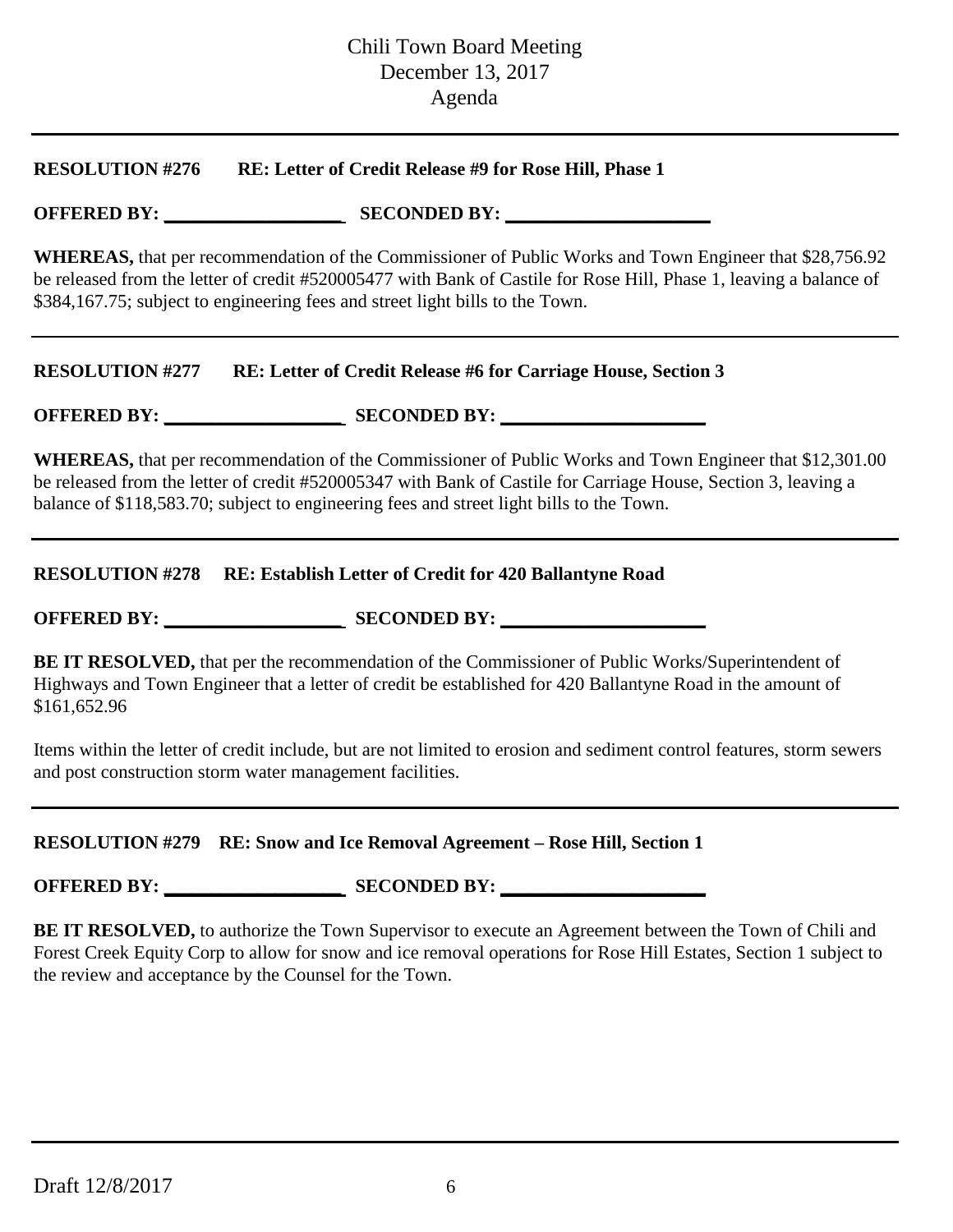#### **RESOLUTION #276 RE: Letter of Credit Release #9 for Rose Hill, Phase 1**

## **OFFERED BY: \_\_\_\_\_\_\_\_\_\_\_\_\_\_\_\_\_\_\_ SECONDED BY: \_\_\_\_\_\_\_\_\_\_\_\_\_\_\_\_\_\_\_\_\_\_**

**WHEREAS,** that per recommendation of the Commissioner of Public Works and Town Engineer that \$28,756.92 be released from the letter of credit #520005477 with Bank of Castile for Rose Hill, Phase 1, leaving a balance of \$384,167.75; subject to engineering fees and street light bills to the Town.

#### **RESOLUTION #277 RE: Letter of Credit Release #6 for Carriage House, Section 3**

**OFFERED BY: \_\_\_\_\_\_\_\_\_\_\_\_\_\_\_\_\_\_\_ SECONDED BY: \_\_\_\_\_\_\_\_\_\_\_\_\_\_\_\_\_\_\_\_\_\_**

**WHEREAS,** that per recommendation of the Commissioner of Public Works and Town Engineer that \$12,301.00 be released from the letter of credit #520005347 with Bank of Castile for Carriage House, Section 3, leaving a balance of \$118,583.70; subject to engineering fees and street light bills to the Town.

#### **RESOLUTION #278 RE: Establish Letter of Credit for 420 Ballantyne Road**

**OFFERED BY:** SECONDED BY:

**BE IT RESOLVED,** that per the recommendation of the Commissioner of Public Works/Superintendent of Highways and Town Engineer that a letter of credit be established for 420 Ballantyne Road in the amount of \$161,652.96

Items within the letter of credit include, but are not limited to erosion and sediment control features, storm sewers and post construction storm water management facilities.

## **RESOLUTION #279 RE: Snow and Ice Removal Agreement – Rose Hill, Section 1**

**OFFERED BY: \_\_\_\_\_\_\_\_\_\_\_\_\_\_\_\_\_\_\_ SECONDED BY: \_\_\_\_\_\_\_\_\_\_\_\_\_\_\_\_\_\_\_\_\_\_**

**BE IT RESOLVED,** to authorize the Town Supervisor to execute an Agreement between the Town of Chili and Forest Creek Equity Corp to allow for snow and ice removal operations for Rose Hill Estates, Section 1 subject to the review and acceptance by the Counsel for the Town.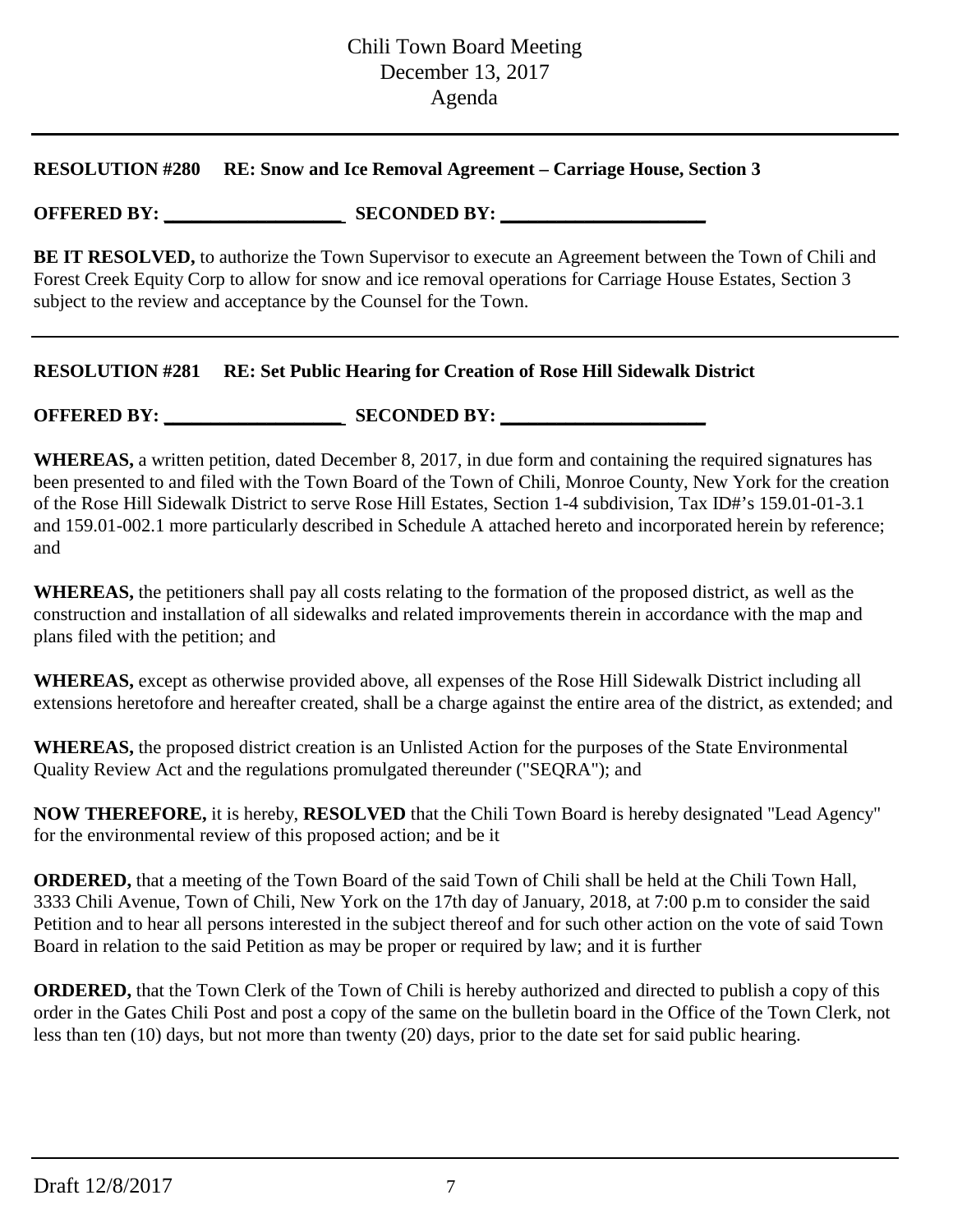#### **RESOLUTION #280 RE: Snow and Ice Removal Agreement – Carriage House, Section 3**

## **OFFERED BY: \_\_\_\_\_\_\_\_\_\_\_\_\_\_\_\_\_\_\_ SECONDED BY: \_\_\_\_\_\_\_\_\_\_\_\_\_\_\_\_\_\_\_\_\_\_**

**BE IT RESOLVED,** to authorize the Town Supervisor to execute an Agreement between the Town of Chili and Forest Creek Equity Corp to allow for snow and ice removal operations for Carriage House Estates, Section 3 subject to the review and acceptance by the Counsel for the Town.

## **RESOLUTION #281 RE: Set Public Hearing for Creation of Rose Hill Sidewalk District**

## **OFFERED BY: \_\_\_\_\_\_\_\_\_\_\_\_\_\_\_\_\_\_\_ SECONDED BY: \_\_\_\_\_\_\_\_\_\_\_\_\_\_\_\_\_\_\_\_\_\_**

**WHEREAS,** a written petition, dated December 8, 2017, in due form and containing the required signatures has been presented to and filed with the Town Board of the Town of Chili, Monroe County, New York for the creation of the Rose Hill Sidewalk District to serve Rose Hill Estates, Section 1-4 subdivision, Tax ID#'s 159.01-01-3.1 and 159.01-002.1 more particularly described in Schedule A attached hereto and incorporated herein by reference; and

**WHEREAS,** the petitioners shall pay all costs relating to the formation of the proposed district, as well as the construction and installation of all sidewalks and related improvements therein in accordance with the map and plans filed with the petition; and

**WHEREAS,** except as otherwise provided above, all expenses of the Rose Hill Sidewalk District including all extensions heretofore and hereafter created, shall be a charge against the entire area of the district, as extended; and

**WHEREAS,** the proposed district creation is an Unlisted Action for the purposes of the State Environmental Quality Review Act and the regulations promulgated thereunder ("SEQRA"); and

**NOW THEREFORE,** it is hereby, **RESOLVED** that the Chili Town Board is hereby designated "Lead Agency" for the environmental review of this proposed action; and be it

**ORDERED,** that a meeting of the Town Board of the said Town of Chili shall be held at the Chili Town Hall, 3333 Chili Avenue, Town of Chili, New York on the 17th day of January, 2018, at 7:00 p.m to consider the said Petition and to hear all persons interested in the subject thereof and for such other action on the vote of said Town Board in relation to the said Petition as may be proper or required by law; and it is further

**ORDERED,** that the Town Clerk of the Town of Chili is hereby authorized and directed to publish a copy of this order in the Gates Chili Post and post a copy of the same on the bulletin board in the Office of the Town Clerk, not less than ten (10) days, but not more than twenty (20) days, prior to the date set for said public hearing.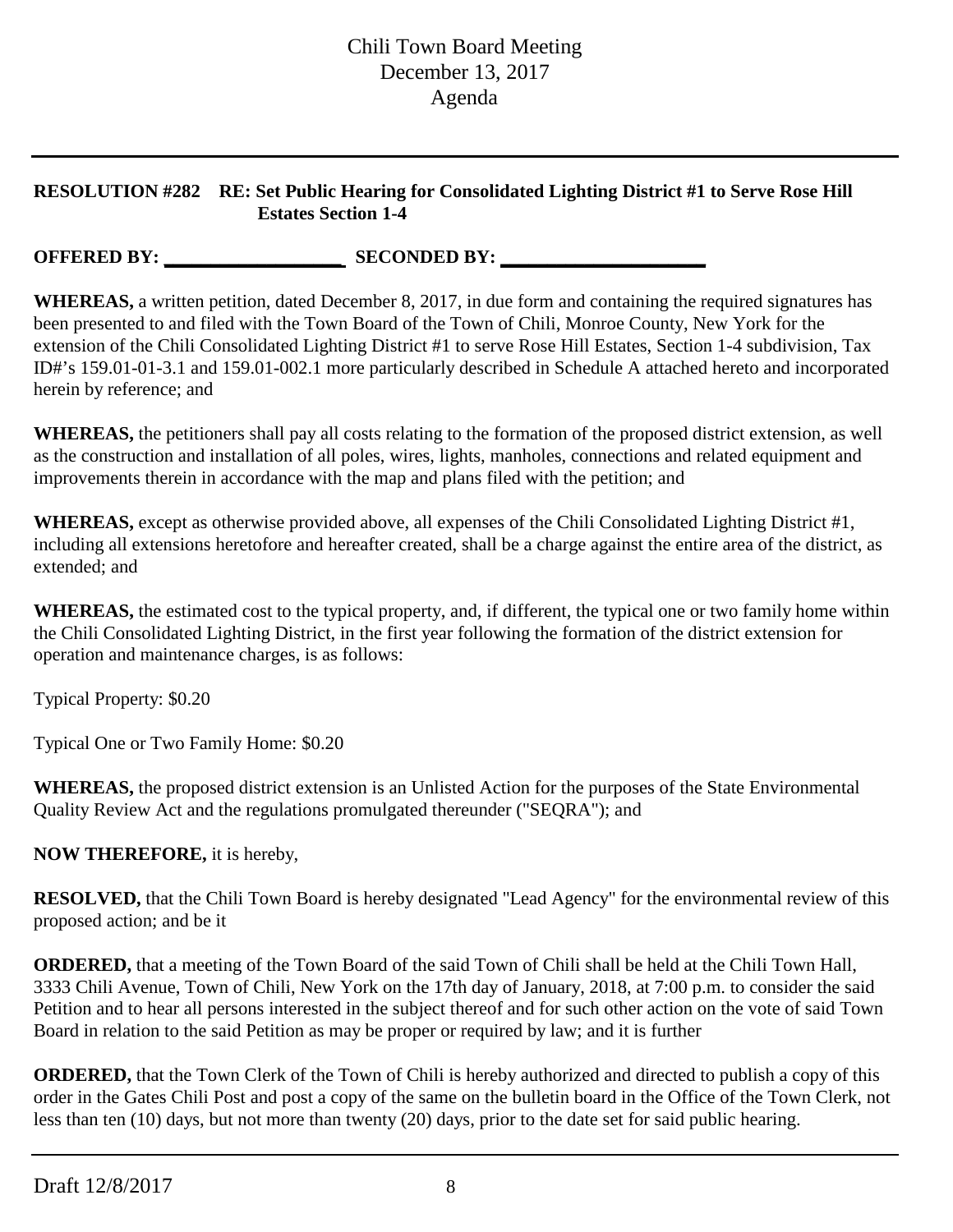## **RESOLUTION #282 RE: Set Public Hearing for Consolidated Lighting District #1 to Serve Rose Hill Estates Section 1-4**

**OFFERED BY:** SECONDED BY:

**WHEREAS,** a written petition, dated December 8, 2017, in due form and containing the required signatures has been presented to and filed with the Town Board of the Town of Chili, Monroe County, New York for the extension of the Chili Consolidated Lighting District #1 to serve Rose Hill Estates, Section 1-4 subdivision, Tax ID#'s 159.01-01-3.1 and 159.01-002.1 more particularly described in Schedule A attached hereto and incorporated herein by reference; and

**WHEREAS,** the petitioners shall pay all costs relating to the formation of the proposed district extension, as well as the construction and installation of all poles, wires, lights, manholes, connections and related equipment and improvements therein in accordance with the map and plans filed with the petition; and

**WHEREAS,** except as otherwise provided above, all expenses of the Chili Consolidated Lighting District #1, including all extensions heretofore and hereafter created, shall be a charge against the entire area of the district, as extended; and

**WHEREAS,** the estimated cost to the typical property, and, if different, the typical one or two family home within the Chili Consolidated Lighting District, in the first year following the formation of the district extension for operation and maintenance charges, is as follows:

Typical Property: \$0.20

Typical One or Two Family Home: \$0.20

**WHEREAS,** the proposed district extension is an Unlisted Action for the purposes of the State Environmental Quality Review Act and the regulations promulgated thereunder ("SEQRA"); and

**NOW THEREFORE,** it is hereby,

**RESOLVED,** that the Chili Town Board is hereby designated "Lead Agency" for the environmental review of this proposed action; and be it

**ORDERED,** that a meeting of the Town Board of the said Town of Chili shall be held at the Chili Town Hall, 3333 Chili Avenue, Town of Chili, New York on the 17th day of January, 2018, at 7:00 p.m. to consider the said Petition and to hear all persons interested in the subject thereof and for such other action on the vote of said Town Board in relation to the said Petition as may be proper or required by law; and it is further

**ORDERED,** that the Town Clerk of the Town of Chili is hereby authorized and directed to publish a copy of this order in the Gates Chili Post and post a copy of the same on the bulletin board in the Office of the Town Clerk, not less than ten (10) days, but not more than twenty (20) days, prior to the date set for said public hearing.